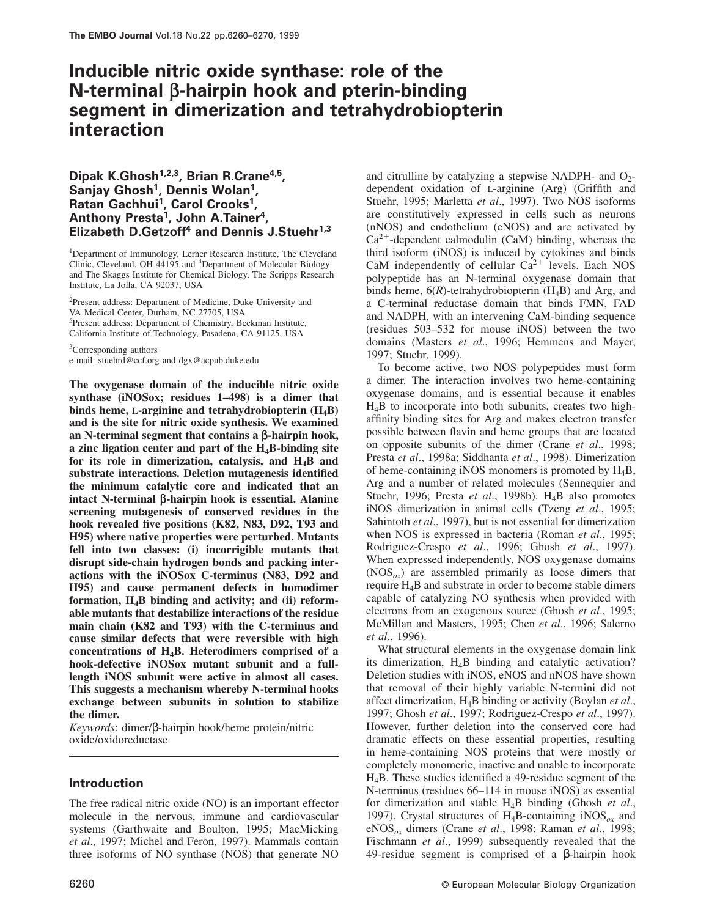# **Inducible nitric oxide synthase: role of the N-terminal β-hairpin hook and pterin-binding segment in dimerization and tetrahydrobiopterin interaction**

# **Dipak K.Ghosh1,2,3, Brian R.Crane4,5 , Sanjay Ghosh<sup>1</sup> , Dennis Wolan<sup>1</sup> , Ratan Gachhui<sup>1</sup> , Carol Crooks<sup>1</sup> , Anthony Presta<sup>1</sup> , John A.Tainer<sup>4</sup> , Elizabeth D.Getzoff<sup>4</sup> and Dennis J.Stuehr1,3**

<sup>1</sup>Department of Immunology, Lerner Research Institute, The Cleveland Clinic, Cleveland, OH 44195 and <sup>4</sup>Department of Molecular Biology and The Skaggs Institute for Chemical Biology, The Scripps Research Institute, La Jolla, CA 92037, USA

<sup>2</sup>Present address: Department of Medicine, Duke University and VA Medical Center, Durham, NC 27705, USA <sup>5</sup>Present address: Department of Chemistry, Beckman Institute, California Institute of Technology, Pasadena, CA 91125, USA

<sup>3</sup>Corresponding authors e-mail: stuehrd@ccf.org and dgx@acpub.duke.edu

**The oxygenase domain of the inducible nitric oxide synthase (iNOSox; residues 1–498) is a dimer that binds heme, L-arginine and tetrahydrobiopterin (H4B) and is the site for nitric oxide synthesis. We examined an N-terminal segment that contains a β-hairpin hook, a zinc ligation center and part of the H4B-binding site for its role in dimerization, catalysis, and H4B and substrate interactions. Deletion mutagenesis identified the minimum catalytic core and indicated that an intact N-terminal β-hairpin hook is essential. Alanine screening mutagenesis of conserved residues in the hook revealed five positions (K82, N83, D92, T93 and H95) where native properties were perturbed. Mutants fell into two classes: (i) incorrigible mutants that disrupt side-chain hydrogen bonds and packing interactions with the iNOSox C-terminus (N83, D92 and H95) and cause permanent defects in homodimer formation, H4B binding and activity; and (ii) reformable mutants that destabilize interactions of the residue main chain (K82 and T93) with the C-terminus and cause similar defects that were reversible with high concentrations of H4B. Heterodimers comprised of a hook-defective iNOSox mutant subunit and a fulllength iNOS subunit were active in almost all cases. This suggests a mechanism whereby N-terminal hooks exchange between subunits in solution to stabilize the dimer.**

*Keywords*: dimer/β-hairpin hook/heme protein/nitric oxide/oxidoreductase

# **Introduction**

The free radical nitric oxide (NO) is an important effector molecule in the nervous, immune and cardiovascular systems (Garthwaite and Boulton, 1995; MacMicking *et al*., 1997; Michel and Feron, 1997). Mammals contain three isoforms of NO synthase (NOS) that generate NO

and citrulline by catalyzing a stepwise NADPH- and  $O_2$ dependent oxidation of L-arginine (Arg) (Griffith and Stuehr, 1995; Marletta *et al*., 1997). Two NOS isoforms are constitutively expressed in cells such as neurons (nNOS) and endothelium (eNOS) and are activated by  $Ca^{2+}$ -dependent calmodulin (CaM) binding, whereas the third isoform (iNOS) is induced by cytokines and binds CaM independently of cellular  $Ca^{2+}$  levels. Each NOS polypeptide has an N-terminal oxygenase domain that binds heme,  $6(R)$ -tetrahydrobiopterin ( $H_4B$ ) and Arg, and a C-terminal reductase domain that binds FMN, FAD and NADPH, with an intervening CaM-binding sequence (residues 503–532 for mouse iNOS) between the two domains (Masters *et al*., 1996; Hemmens and Mayer, 1997; Stuehr, 1999).

To become active, two NOS polypeptides must form a dimer. The interaction involves two heme-containing oxygenase domains, and is essential because it enables  $H_4B$  to incorporate into both subunits, creates two highaffinity binding sites for Arg and makes electron transfer possible between flavin and heme groups that are located on opposite subunits of the dimer (Crane *et al*., 1998; Presta *et al*., 1998a; Siddhanta *et al*., 1998). Dimerization of heme-containing iNOS monomers is promoted by  $H_4B$ , Arg and a number of related molecules (Sennequier and Stuehr, 1996; Presta et al., 1998b). H<sub>4</sub>B also promotes iNOS dimerization in animal cells (Tzeng *et al*., 1995; Sahintoth *et al*., 1997), but is not essential for dimerization when NOS is expressed in bacteria (Roman *et al*., 1995; Rodriguez-Crespo *et al*., 1996; Ghosh *et al*., 1997). When expressed independently, NOS oxygenase domains  $(NOS<sub>ox</sub>)$  are assembled primarily as loose dimers that require H4B and substrate in order to become stable dimers capable of catalyzing NO synthesis when provided with electrons from an exogenous source (Ghosh *et al*., 1995; McMillan and Masters, 1995; Chen *et al*., 1996; Salerno *et al*., 1996).

What structural elements in the oxygenase domain link its dimerization, H4B binding and catalytic activation? Deletion studies with iNOS, eNOS and nNOS have shown that removal of their highly variable N-termini did not affect dimerization, H4B binding or activity (Boylan *et al*., 1997; Ghosh *et al*., 1997; Rodriguez-Crespo *et al*., 1997). However, further deletion into the conserved core had dramatic effects on these essential properties, resulting in heme-containing NOS proteins that were mostly or completely monomeric, inactive and unable to incorporate H4B. These studies identified a 49-residue segment of the N-terminus (residues 66–114 in mouse iNOS) as essential for dimerization and stable H4B binding (Ghosh *et al*., 1997). Crystal structures of H4B-containing iNOS*ox* and eNOS*ox* dimers (Crane *et al*., 1998; Raman *et al*., 1998; Fischmann *et al*., 1999) subsequently revealed that the 49-residue segment is comprised of a β-hairpin hook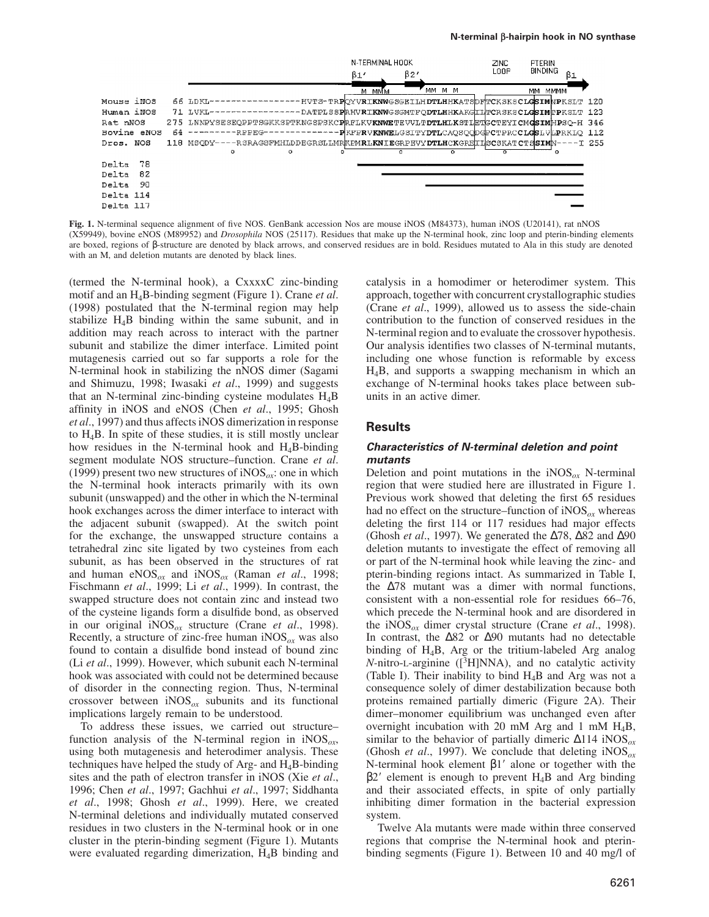

**Fig. 1.** N-terminal sequence alignment of five NOS. GenBank accession Nos are mouse iNOS (M84373), human iNOS (U20141), rat nNOS (X59949), bovine eNOS (M89952) and *Drosophila* NOS (25117). Residues that make up the N-terminal hook, zinc loop and pterin-binding elements are boxed, regions of β-structure are denoted by black arrows, and conserved residues are in bold. Residues mutated to Ala in this study are denoted with an M, and deletion mutants are denoted by black lines.

(termed the N-terminal hook), a CxxxxC zinc-binding motif and an H4B-binding segment (Figure 1). Crane *et al*. (1998) postulated that the N-terminal region may help stabilize  $H_4B$  binding within the same subunit, and in addition may reach across to interact with the partner subunit and stabilize the dimer interface. Limited point mutagenesis carried out so far supports a role for the N-terminal hook in stabilizing the nNOS dimer (Sagami and Shimuzu, 1998; Iwasaki *et al*., 1999) and suggests that an N-terminal zinc-binding cysteine modulates  $H_4B$ affinity in iNOS and eNOS (Chen *et al*., 1995; Ghosh *et al*., 1997) and thus affects iNOS dimerization in response to H4B. In spite of these studies, it is still mostly unclear how residues in the N-terminal hook and  $H_4B$ -binding segment modulate NOS structure–function. Crane *et al*. (1999) present two new structures of  $NOS_{\alpha}$ : one in which the N-terminal hook interacts primarily with its own subunit (unswapped) and the other in which the N-terminal hook exchanges across the dimer interface to interact with the adjacent subunit (swapped). At the switch point for the exchange, the unswapped structure contains a tetrahedral zinc site ligated by two cysteines from each subunit, as has been observed in the structures of rat and human eNOS*ox* and iNOS*ox* (Raman *et al*., 1998; Fischmann *et al*., 1999; Li *et al*., 1999). In contrast, the swapped structure does not contain zinc and instead two of the cysteine ligands form a disulfide bond, as observed in our original iNOS*ox* structure (Crane *et al*., 1998). Recently, a structure of zinc-free human iNOS*ox* was also found to contain a disulfide bond instead of bound zinc (Li *et al*., 1999). However, which subunit each N-terminal hook was associated with could not be determined because of disorder in the connecting region. Thus, N-terminal crossover between  $iNOS_{ox}$  subunits and its functional implications largely remain to be understood.

To address these issues, we carried out structure– function analysis of the N-terminal region in iNOS*ox*, using both mutagenesis and heterodimer analysis. These techniques have helped the study of Arg- and  $H_4B$ -binding sites and the path of electron transfer in iNOS (Xie *et al*., 1996; Chen *et al*., 1997; Gachhui *et al*., 1997; Siddhanta *et al*., 1998; Ghosh *et al*., 1999). Here, we created N-terminal deletions and individually mutated conserved residues in two clusters in the N-terminal hook or in one cluster in the pterin-binding segment (Figure 1). Mutants were evaluated regarding dimerization, H4B binding and

catalysis in a homodimer or heterodimer system. This approach, together with concurrent crystallographic studies (Crane *et al*., 1999), allowed us to assess the side-chain contribution to the function of conserved residues in the N-terminal region and to evaluate the crossover hypothesis. Our analysis identifies two classes of N-terminal mutants, including one whose function is reformable by excess H4B, and supports a swapping mechanism in which an exchange of N-terminal hooks takes place between subunits in an active dimer.

# **Results**

## **Characteristics of N-terminal deletion and point mutants**

Deletion and point mutations in the iNOS*ox* N-terminal region that were studied here are illustrated in Figure 1. Previous work showed that deleting the first 65 residues had no effect on the structure–function of  $iNOS_{ox}$  whereas deleting the first 114 or 117 residues had major effects (Ghosh *et al*., 1997). We generated the ∆78, ∆82 and ∆90 deletion mutants to investigate the effect of removing all or part of the N-terminal hook while leaving the zinc- and pterin-binding regions intact. As summarized in Table I, the ∆78 mutant was a dimer with normal functions, consistent with a non-essential role for residues 66–76, which precede the N-terminal hook and are disordered in the iNOS*ox* dimer crystal structure (Crane *et al*., 1998). In contrast, the ∆82 or ∆90 mutants had no detectable binding of H4B, Arg or the tritium-labeled Arg analog *N*-nitro-L-arginine ([<sup>3</sup>H]NNA), and no catalytic activity (Table I). Their inability to bind  $H_4B$  and Arg was not a consequence solely of dimer destabilization because both proteins remained partially dimeric (Figure 2A). Their dimer–monomer equilibrium was unchanged even after overnight incubation with 20 mM Arg and 1 mM  $H_4B$ , similar to the behavior of partially dimeric ∆114 iNOS*ox* (Ghosh *et al*., 1997). We conclude that deleting iNOS*ox* N-terminal hook element  $β1'$  alone or together with the  $\beta$ 2' element is enough to prevent H<sub>4</sub>B and Arg binding and their associated effects, in spite of only partially inhibiting dimer formation in the bacterial expression system.

Twelve Ala mutants were made within three conserved regions that comprise the N-terminal hook and pterinbinding segments (Figure 1). Between 10 and 40 mg/l of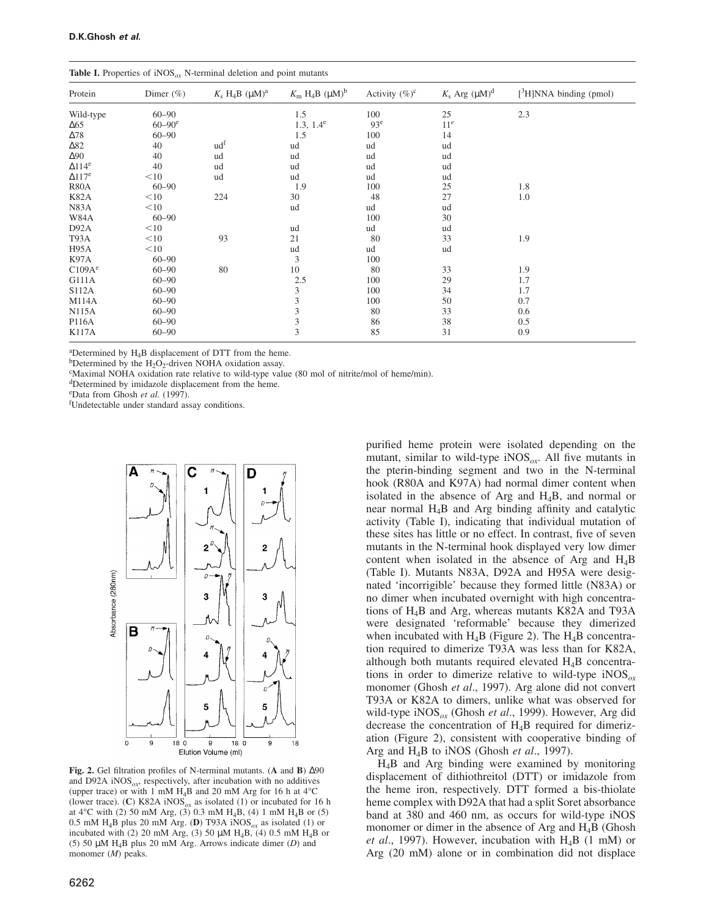| <b>Twore 1.</b> Troperties of $H \cup S_{\theta}$ is terminal defection and point matams |                        |                                    |                                                      |                   |                       |                              |
|------------------------------------------------------------------------------------------|------------------------|------------------------------------|------------------------------------------------------|-------------------|-----------------------|------------------------------|
| Protein                                                                                  | Dimer $(\% )$          | $K_s$ H <sub>4</sub> B $(\mu M)^a$ | $K_{\rm m}$ H <sub>4</sub> B ( $\mu$ M) <sup>b</sup> | Activity $(\%)^c$ | $K_s$ Arg $(\mu M)^d$ | $[{}^3H]$ NNA binding (pmol) |
| Wild-type                                                                                | $60 - 90$              |                                    | 1.5                                                  | 100               | 25                    | 2.3                          |
| $\Delta 65$                                                                              | $60 - 90$ <sup>e</sup> |                                    | $1.3, 1.4^e$                                         | 93 <sup>e</sup>   | 11 <sup>e</sup>       |                              |
| $\Delta 78$                                                                              | $60 - 90$              |                                    | 1.5                                                  | 100               | 14                    |                              |
| $\Delta$ 82                                                                              | 40                     | ud <sup>f</sup>                    | ud                                                   | ud                | ud                    |                              |
| $\Delta 90$                                                                              | 40                     | ud                                 | ud                                                   | ud                | ud                    |                              |
| $\Delta$ 114 <sup>e</sup>                                                                | 40                     | ud                                 | ud                                                   | ud                | ud                    |                              |
| $\Delta$ 117 <sup>e</sup>                                                                | $<$ 10                 | ud                                 | ud                                                   | ud                | ud                    |                              |
| <b>R80A</b>                                                                              | $60 - 90$              |                                    | 1.9                                                  | 100               | 25                    | 1.8                          |
| <b>K82A</b>                                                                              | $<$ 10                 | 224                                | 30                                                   | 48                | 27                    | 1.0                          |
| N83A                                                                                     | $<$ 10                 |                                    | ud                                                   | ud                | ud                    |                              |
| W84A                                                                                     | $60 - 90$              |                                    |                                                      | 100               | 30                    |                              |
| D92A                                                                                     | $<$ 10                 |                                    | ud                                                   | ud                | ud                    |                              |
| T93A                                                                                     | $<$ 10                 | 93                                 | 21                                                   | 80                | 33                    | 1.9                          |
| H95A                                                                                     | $<$ 10                 |                                    | ud                                                   | ud                | ud                    |                              |
| K97A                                                                                     | $60 - 90$              |                                    | 3                                                    | 100               |                       |                              |
| C109A <sup>e</sup>                                                                       | $60 - 90$              | 80                                 | 10                                                   | 80                | 33                    | 1.9                          |
| G111A                                                                                    | $60 - 90$              |                                    | 2.5                                                  | 100               | 29                    | 1.7                          |
| <b>S112A</b>                                                                             | $60 - 90$              |                                    | 3                                                    | 100               | 34                    | 1.7                          |
| <b>M114A</b>                                                                             | $60 - 90$              |                                    | 3                                                    | 100               | 50                    | 0.7                          |
| <b>N115A</b>                                                                             | $60 - 90$              |                                    | 3                                                    | 80                | 33                    | 0.6                          |
| P116A                                                                                    | $60 - 90$              |                                    | $\overline{\mathbf{3}}$                              | 86                | 38                    | 0.5                          |
| <b>K117A</b>                                                                             | $60 - 90$              |                                    | $\overline{\mathbf{3}}$                              | 85                | 31                    | 0.9                          |
|                                                                                          |                        |                                    |                                                      |                   |                       |                              |

**Table I.** Properties of iNOS<sub>ox</sub> N-terminal deletion and point mutants

 $a^2$ Determined by  $H_4B$  displacement of DTT from the heme.

bDetermined by the  $H_2O_2$ -driven NOHA oxidation assay.

<sup>c</sup>Maximal NOHA oxidation rate relative to wild-type value (80 mol of nitrite/mol of heme/min).

<sup>d</sup>Determined by imidazole displacement from the heme.

<sup>e</sup>Data from Ghosh *et al*. (1997).

<sup>f</sup>Undetectable under standard assay conditions.



**Fig. 2.** Gel filtration profiles of N-terminal mutants. (**A** and **B**) ∆90 and D92A iNOS*ox*, respectively, after incubation with no additives (upper trace) or with 1 mM  $H_4B$  and 20 mM Arg for 16 h at 4 $^{\circ}$ C (lower trace). (**C**) K82A iNOS<sub> $\alpha$ x</sub> as isolated (1) or incubated for 16 h at  $4^{\circ}$ C with (2) 50 mM Arg, (3) 0.3 mM H<sub>4</sub>B, (4) 1 mM H<sub>4</sub>B or (5) 0.5 mM H<sub>4</sub>B plus 20 mM Arg. (**D**) T93A iNOS<sub>*ox*</sub> as isolated (1) or incubated with (2) 20 mM Arg, (3) 50  $\mu$ M H<sub>4</sub>B, (4) 0.5 mM H<sub>4</sub>B or (5) 50 µM H4B plus 20 mM Arg. Arrows indicate dimer (*D*) and monomer (*M*) peaks.

purified heme protein were isolated depending on the mutant, similar to wild-type iNOS*ox*. All five mutants in the pterin-binding segment and two in the N-terminal hook (R80A and K97A) had normal dimer content when isolated in the absence of Arg and H4B, and normal or near normal H4B and Arg binding affinity and catalytic activity (Table I), indicating that individual mutation of these sites has little or no effect. In contrast, five of seven mutants in the N-terminal hook displayed very low dimer content when isolated in the absence of Arg and  $H_4B$ (Table I). Mutants N83A, D92A and H95A were designated 'incorrigible' because they formed little (N83A) or no dimer when incubated overnight with high concentrations of H4B and Arg, whereas mutants K82A and T93A were designated 'reformable' because they dimerized when incubated with  $H_4B$  (Figure 2). The  $H_4B$  concentration required to dimerize T93A was less than for K82A, although both mutants required elevated H4B concentrations in order to dimerize relative to wild-type iNOS*ox* monomer (Ghosh *et al*., 1997). Arg alone did not convert T93A or K82A to dimers, unlike what was observed for wild-type iNOS*ox* (Ghosh *et al*., 1999). However, Arg did decrease the concentration of  $H_4B$  required for dimerization (Figure 2), consistent with cooperative binding of Arg and H4B to iNOS (Ghosh *et al*., 1997).

H4B and Arg binding were examined by monitoring displacement of dithiothreitol (DTT) or imidazole from the heme iron, respectively. DTT formed a bis-thiolate heme complex with D92A that had a split Soret absorbance band at 380 and 460 nm, as occurs for wild-type iNOS monomer or dimer in the absence of Arg and H<sub>4</sub>B (Ghosh *et al*., 1997). However, incubation with H4B (1 mM) or Arg (20 mM) alone or in combination did not displace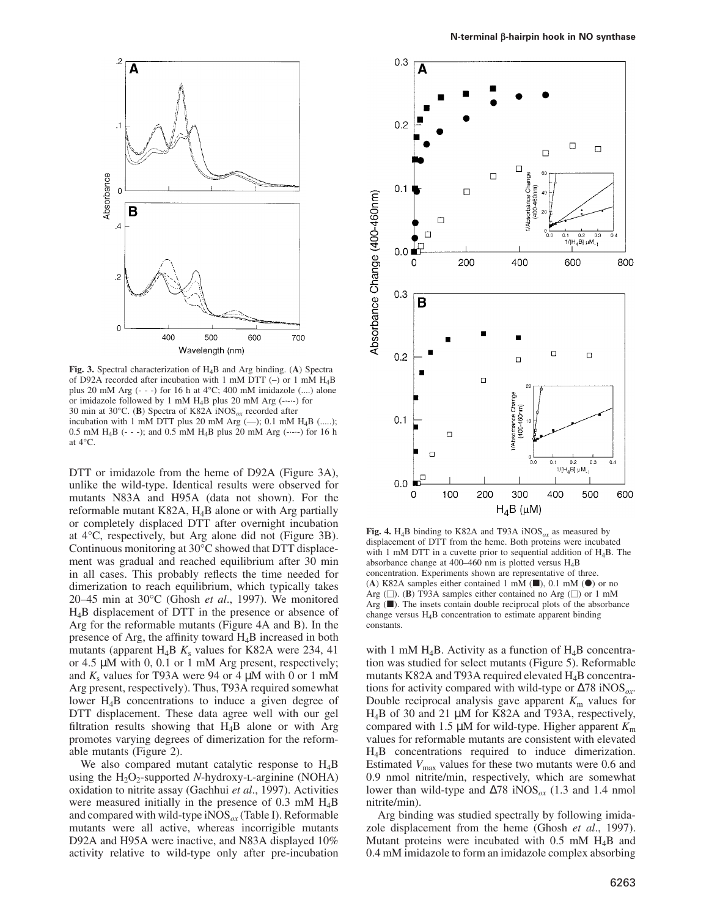

**Fig. 3.** Spectral characterization of H4B and Arg binding. (**A**) Spectra of D92A recorded after incubation with 1 mM DTT (–) or 1 mM H4B plus 20 mM Arg  $(- -)$  for 16 h at  $4^{\circ}$ C; 400 mM imidazole  $(...)$  alone or imidazole followed by 1 mM H4B plus 20 mM Arg (-·-·-) for 30 min at 30°C. (**B**) Spectra of K82A iNOS*ox* recorded after incubation with 1 mM DTT plus 20 mM Arg  $(-)$ ; 0.1 mM  $H_4B$  (.....); 0.5 mM H<sub>4</sub>B (- - -); and 0.5 mM H<sub>4</sub>B plus 20 mM Arg (-----) for 16 h at 4°C.

DTT or imidazole from the heme of D92A (Figure 3A), unlike the wild-type. Identical results were observed for mutants N83A and H95A (data not shown). For the reformable mutant K82A, H4B alone or with Arg partially or completely displaced DTT after overnight incubation at 4°C, respectively, but Arg alone did not (Figure 3B). Continuous monitoring at 30°C showed that DTT displacement was gradual and reached equilibrium after 30 min in all cases. This probably reflects the time needed for dimerization to reach equilibrium, which typically takes 20–45 min at 30°C (Ghosh *et al*., 1997). We monitored H4B displacement of DTT in the presence or absence of Arg for the reformable mutants (Figure 4A and B). In the presence of Arg, the affinity toward  $H_4B$  increased in both mutants (apparent H<sub>4</sub>B  $K_s$  values for K82A were 234, 41 or 4.5 µM with 0, 0.1 or 1 mM Arg present, respectively; and  $K_s$  values for T93A were 94 or 4  $\mu$ M with 0 or 1 mM Arg present, respectively). Thus, T93A required somewhat lower H4B concentrations to induce a given degree of DTT displacement. These data agree well with our gel filtration results showing that  $H_4B$  alone or with Arg promotes varying degrees of dimerization for the reformable mutants (Figure 2).

We also compared mutant catalytic response to  $H_4B$ using the  $H_2O_2$ -supported *N*-hydroxy-L-arginine (NOHA) oxidation to nitrite assay (Gachhui *et al*., 1997). Activities were measured initially in the presence of  $0.3 \text{ mM } H_4B$ and compared with wild-type iNOS*ox* (Table I). Reformable mutants were all active, whereas incorrigible mutants D92A and H95A were inactive, and N83A displayed 10% activity relative to wild-type only after pre-incubation



**Fig. 4.** H<sub>4</sub>B binding to K82A and T93A iNOS<sub> $\alpha$ x</sub> as measured by displacement of DTT from the heme. Both proteins were incubated with 1 mM DTT in a cuvette prior to sequential addition of H4B. The absorbance change at 400–460 nm is plotted versus H4B concentration. Experiments shown are representative of three. (A) K82A samples either contained 1 mM  $(\blacksquare)$ , 0.1 mM  $(\lozenge)$  or no Arg  $(\square)$ . **(B)** T93A samples either contained no Arg  $(\square)$  or 1 mM Arg  $(\blacksquare)$ . The insets contain double reciprocal plots of the absorbance change versus H4B concentration to estimate apparent binding constants.

with 1 mM  $H_4B$ . Activity as a function of  $H_4B$  concentration was studied for select mutants (Figure 5). Reformable mutants K82A and T93A required elevated  $H_4B$  concentrations for activity compared with wild-type or ∆78 iNOS*ox*. Double reciprocal analysis gave apparent  $K<sub>m</sub>$  values for H4B of 30 and 21 µM for K82A and T93A, respectively, compared with 1.5  $\mu$ M for wild-type. Higher apparent  $K<sub>m</sub>$ values for reformable mutants are consistent with elevated H4B concentrations required to induce dimerization. Estimated  $V_{\text{max}}$  values for these two mutants were 0.6 and 0.9 nmol nitrite/min, respectively, which are somewhat lower than wild-type and ∆78 iNOS*ox* (1.3 and 1.4 nmol nitrite/min).

Arg binding was studied spectrally by following imidazole displacement from the heme (Ghosh *et al*., 1997). Mutant proteins were incubated with  $0.5$  mM  $H_4B$  and 0.4 mM imidazole to form an imidazole complex absorbing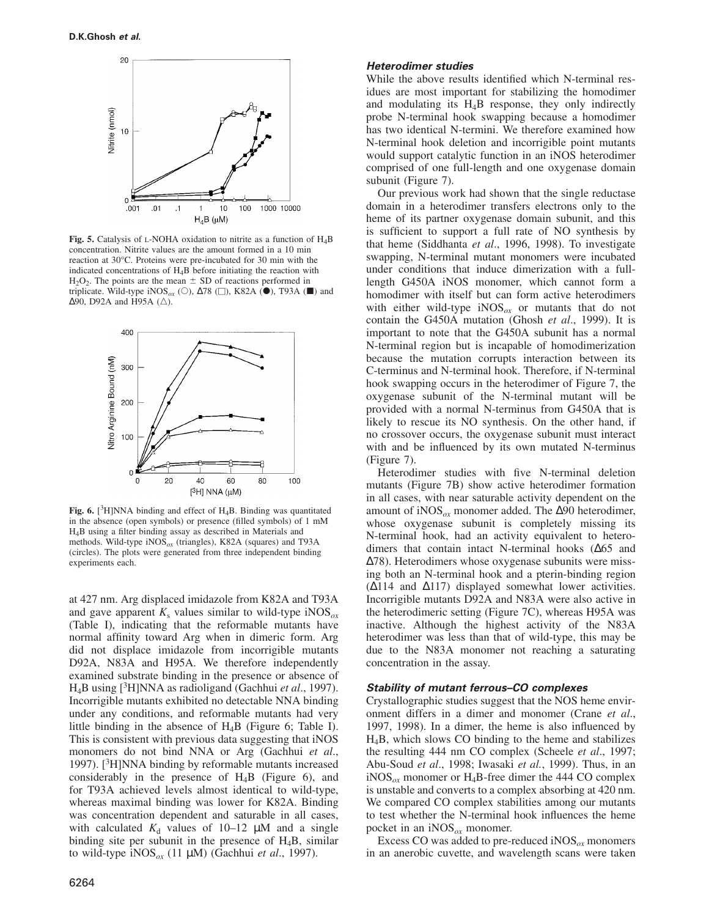

**Fig. 5.** Catalysis of <sup>L</sup>-NOHA oxidation to nitrite as a function of H4B concentration. Nitrite values are the amount formed in a 10 min reaction at 30°C. Proteins were pre-incubated for 30 min with the indicated concentrations of H4B before initiating the reaction with  $H<sub>2</sub>O<sub>2</sub>$ . The points are the mean  $\pm$  SD of reactions performed in triplicate. Wild-type iNOS<sub>*ox*</sub> (○),  $\Delta 78$  (□), K82A (●), T93A (■) and  $\Delta$ 90, D92A and H95A ( $\triangle$ ).



Fig. 6. [<sup>3</sup>H]NNA binding and effect of H<sub>4</sub>B. Binding was quantitated in the absence (open symbols) or presence (filled symbols) of 1 mM H4B using a filter binding assay as described in Materials and methods. Wild-type iNOS*ox* (triangles), K82A (squares) and T93A (circles). The plots were generated from three independent binding experiments each.

at 427 nm. Arg displaced imidazole from K82A and T93A and gave apparent  $K_s$  values similar to wild-type iNOS<sub> $\alpha$ x</sub> (Table I), indicating that the reformable mutants have normal affinity toward Arg when in dimeric form. Arg did not displace imidazole from incorrigible mutants D92A, N83A and H95A. We therefore independently examined substrate binding in the presence or absence of H4B using [<sup>3</sup>H]NNA as radioligand (Gachhui *et al*., 1997). Incorrigible mutants exhibited no detectable NNA binding under any conditions, and reformable mutants had very little binding in the absence of  $H_4B$  (Figure 6; Table I). This is consistent with previous data suggesting that iNOS monomers do not bind NNA or Arg (Gachhui *et al*., 1997).  $[3H]$ NNA binding by reformable mutants increased considerably in the presence of  $H_4B$  (Figure 6), and for T93A achieved levels almost identical to wild-type, whereas maximal binding was lower for K82A. Binding was concentration dependent and saturable in all cases, with calculated  $K_d$  values of 10–12  $\mu$ M and a single binding site per subunit in the presence of  $H_4B$ , similar to wild-type iNOS*ox* (11 µM) (Gachhui *et al*., 1997).

#### **Heterodimer studies**

While the above results identified which N-terminal residues are most important for stabilizing the homodimer and modulating its  $H_4B$  response, they only indirectly probe N-terminal hook swapping because a homodimer has two identical N-termini. We therefore examined how N-terminal hook deletion and incorrigible point mutants would support catalytic function in an iNOS heterodimer comprised of one full-length and one oxygenase domain subunit (Figure 7).

Our previous work had shown that the single reductase domain in a heterodimer transfers electrons only to the heme of its partner oxygenase domain subunit, and this is sufficient to support a full rate of NO synthesis by that heme (Siddhanta *et al*., 1996, 1998). To investigate swapping, N-terminal mutant monomers were incubated under conditions that induce dimerization with a fulllength G450A iNOS monomer, which cannot form a homodimer with itself but can form active heterodimers with either wild-type iNOS*ox* or mutants that do not contain the G450A mutation (Ghosh *et al*., 1999). It is important to note that the G450A subunit has a normal N-terminal region but is incapable of homodimerization because the mutation corrupts interaction between its C-terminus and N-terminal hook. Therefore, if N-terminal hook swapping occurs in the heterodimer of Figure 7, the oxygenase subunit of the N-terminal mutant will be provided with a normal N-terminus from G450A that is likely to rescue its NO synthesis. On the other hand, if no crossover occurs, the oxygenase subunit must interact with and be influenced by its own mutated N-terminus (Figure 7).

Heterodimer studies with five N-terminal deletion mutants (Figure 7B) show active heterodimer formation in all cases, with near saturable activity dependent on the amount of iNOS*ox* monomer added. The ∆90 heterodimer, whose oxygenase subunit is completely missing its N-terminal hook, had an activity equivalent to heterodimers that contain intact N-terminal hooks (∆65 and ∆78). Heterodimers whose oxygenase subunits were missing both an N-terminal hook and a pterin-binding region (∆114 and ∆117) displayed somewhat lower activities. Incorrigible mutants D92A and N83A were also active in the heterodimeric setting (Figure 7C), whereas H95A was inactive. Although the highest activity of the N83A heterodimer was less than that of wild-type, this may be due to the N83A monomer not reaching a saturating concentration in the assay.

## **Stability of mutant ferrous–CO complexes**

Crystallographic studies suggest that the NOS heme environment differs in a dimer and monomer (Crane *et al*., 1997, 1998). In a dimer, the heme is also influenced by H4B, which slows CO binding to the heme and stabilizes the resulting 444 nm CO complex (Scheele *et al*., 1997; Abu-Soud *et al*., 1998; Iwasaki *et al.*, 1999). Thus, in an iNOS<sub> $\alpha$ x</sub> monomer or H<sub>4</sub>B-free dimer the 444 CO complex is unstable and converts to a complex absorbing at 420 nm. We compared CO complex stabilities among our mutants to test whether the N-terminal hook influences the heme pocket in an iNOS*ox* monomer.

Excess CO was added to pre-reduced iNOS*ox* monomers in an anerobic cuvette, and wavelength scans were taken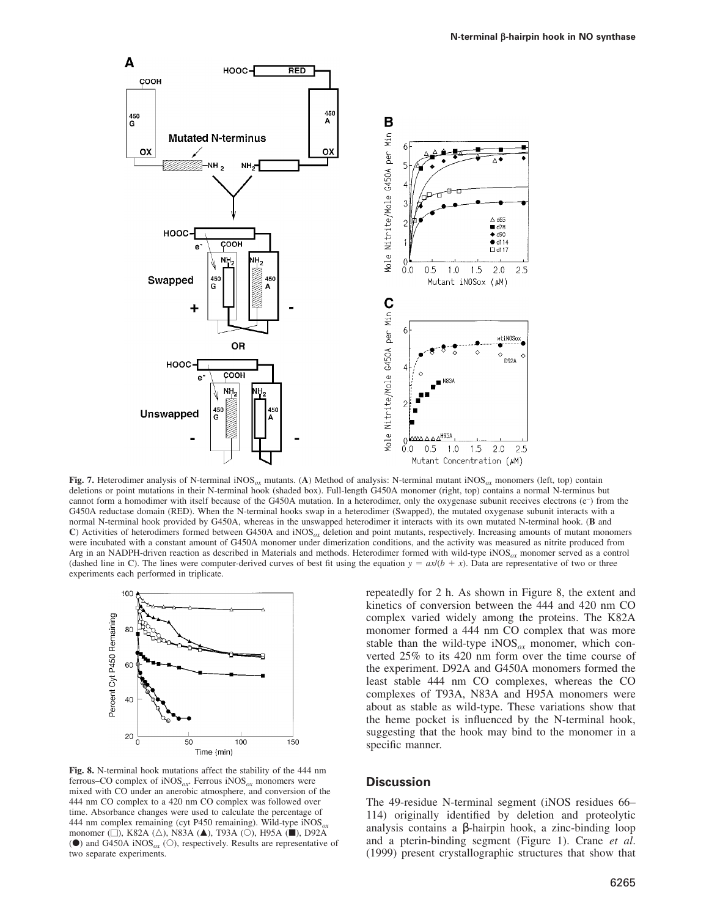

**Fig. 7.** Heterodimer analysis of N-terminal iNOS*ox* mutants. (**A**) Method of analysis: N-terminal mutant iNOS*ox* monomers (left, top) contain deletions or point mutations in their N-terminal hook (shaded box). Full-length G450A monomer (right, top) contains a normal N-terminus but cannot form a homodimer with itself because of the G450A mutation. In a heterodimer, only the oxygenase subunit receives electrons (e– ) from the G450A reductase domain (RED). When the N-terminal hooks swap in a heterodimer (Swapped), the mutated oxygenase subunit interacts with a normal N-terminal hook provided by G450A, whereas in the unswapped heterodimer it interacts with its own mutated N-terminal hook. (**B** and **C**) Activities of heterodimers formed between G450A and iNOS*ox* deletion and point mutants, respectively. Increasing amounts of mutant monomers were incubated with a constant amount of G450A monomer under dimerization conditions, and the activity was measured as nitrite produced from Arg in an NADPH-driven reaction as described in Materials and methods. Heterodimer formed with wild-type iNOS*ox* monomer served as a control (dashed line in C). The lines were computer-derived curves of best fit using the equation  $y = ax/(b + x)$ . Data are representative of two or three experiments each performed in triplicate.



**Fig. 8.** N-terminal hook mutations affect the stability of the 444 nm ferrous–CO complex of iNOS*ox*. Ferrous iNOS*ox* monomers were mixed with CO under an anerobic atmosphere, and conversion of the 444 nm CO complex to a 420 nm CO complex was followed over time. Absorbance changes were used to calculate the percentage of 444 nm complex remaining (cyt P450 remaining). Wild-type iNOS*ox* monomer ( $\Box$ ), K82A ( $\triangle$ ), N83A ( $\blacktriangle$ ), T93A ( $\bigcirc$ ), H95A ( $\blacksquare$ ), D92A ( $\bullet$ ) and G450A iNOS<sub>*ox*</sub> ( $\circ$ ), respectively. Results are representative of two separate experiments.

repeatedly for 2 h. As shown in Figure 8, the extent and kinetics of conversion between the 444 and 420 nm CO complex varied widely among the proteins. The K82A monomer formed a 444 nm CO complex that was more stable than the wild-type  $NOS_{ox}$  monomer, which converted 25% to its 420 nm form over the time course of the experiment. D92A and G450A monomers formed the least stable 444 nm CO complexes, whereas the CO complexes of T93A, N83A and H95A monomers were about as stable as wild-type. These variations show that the heme pocket is influenced by the N-terminal hook, suggesting that the hook may bind to the monomer in a specific manner.

## **Discussion**

The 49-residue N-terminal segment (iNOS residues 66– 114) originally identified by deletion and proteolytic analysis contains a β-hairpin hook, a zinc-binding loop and a pterin-binding segment (Figure 1). Crane *et al*. (1999) present crystallographic structures that show that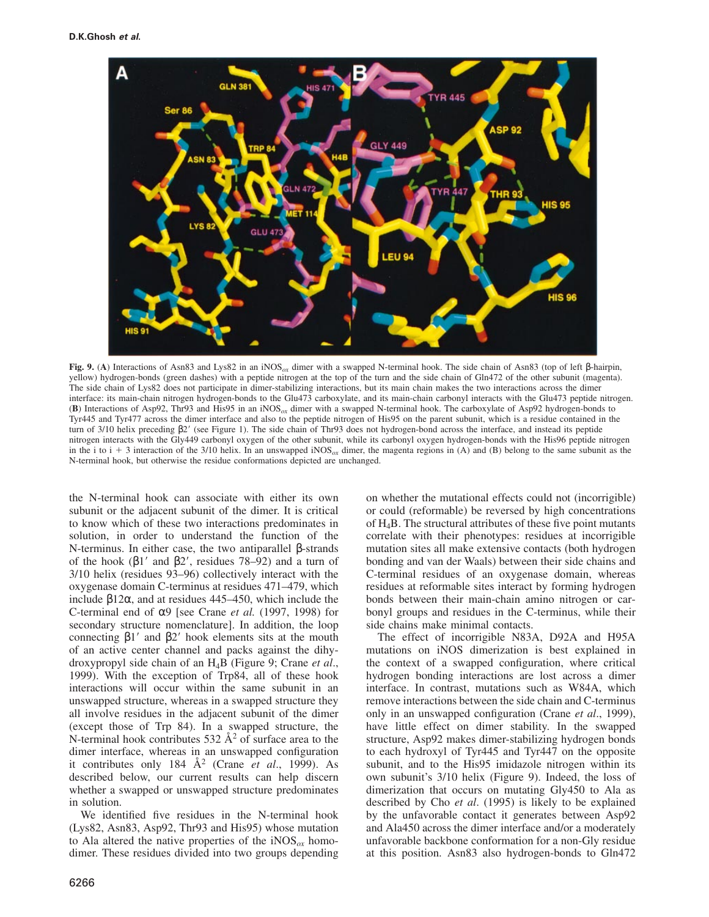

**Fig. 9.** (**A**) Interactions of Asn83 and Lys82 in an iNOS*ox* dimer with a swapped N-terminal hook. The side chain of Asn83 (top of left β-hairpin, yellow) hydrogen-bonds (green dashes) with a peptide nitrogen at the top of the turn and the side chain of Gln472 of the other subunit (magenta). The side chain of Lys82 does not participate in dimer-stabilizing interactions, but its main chain makes the two interactions across the dimer interface: its main-chain nitrogen hydrogen-bonds to the Glu473 carboxylate, and its main-chain carbonyl interacts with the Glu473 peptide nitrogen. (**B**) Interactions of Asp92, Thr93 and His95 in an iNOS*ox* dimer with a swapped N-terminal hook. The carboxylate of Asp92 hydrogen-bonds to Tyr445 and Tyr477 across the dimer interface and also to the peptide nitrogen of His95 on the parent subunit, which is a residue contained in the turn of 3/10 helix preceding β2' (see Figure 1). The side chain of Thr93 does not hydrogen-bond across the interface, and instead its peptide nitrogen interacts with the Gly449 carbonyl oxygen of the other subunit, while its carbonyl oxygen hydrogen-bonds with the His96 peptide nitrogen in the i to  $i + 3$  interaction of the 3/10 helix. In an unswapped iNOS<sub>ox</sub> dimer, the magenta regions in (A) and (B) belong to the same subunit as the N-terminal hook, but otherwise the residue conformations depicted are unchanged.

the N-terminal hook can associate with either its own subunit or the adjacent subunit of the dimer. It is critical to know which of these two interactions predominates in solution, in order to understand the function of the N-terminus. In either case, the two antiparallel β-strands of the hook  $(\beta1'$  and  $\beta2'$ , residues 78–92) and a turn of 3/10 helix (residues 93–96) collectively interact with the oxygenase domain C-terminus at residues 471–479, which include β12α, and at residues 445–450, which include the C-terminal end of α9 [see Crane *et al.* (1997, 1998) for secondary structure nomenclature]. In addition, the loop connecting  $β1'$  and  $β2'$  hook elements sits at the mouth of an active center channel and packs against the dihydroxypropyl side chain of an H4B (Figure 9; Crane *et al*., 1999). With the exception of Trp84, all of these hook interactions will occur within the same subunit in an unswapped structure, whereas in a swapped structure they all involve residues in the adjacent subunit of the dimer (except those of Trp 84). In a swapped structure, the N-terminal hook contributes 532  $A^2$  of surface area to the dimer interface, whereas in an unswapped configuration it contributes only 184  $\AA^2$  (Crane *et al.*, 1999). As described below, our current results can help discern whether a swapped or unswapped structure predominates in solution.

We identified five residues in the N-terminal hook (Lys82, Asn83, Asp92, Thr93 and His95) whose mutation to Ala altered the native properties of the  $iNOS_{ox}$  homodimer. These residues divided into two groups depending on whether the mutational effects could not (incorrigible) or could (reformable) be reversed by high concentrations of  $H_4B$ . The structural attributes of these five point mutants correlate with their phenotypes: residues at incorrigible mutation sites all make extensive contacts (both hydrogen bonding and van der Waals) between their side chains and C-terminal residues of an oxygenase domain, whereas residues at reformable sites interact by forming hydrogen bonds between their main-chain amino nitrogen or carbonyl groups and residues in the C-terminus, while their side chains make minimal contacts.

The effect of incorrigible N83A, D92A and H95A mutations on iNOS dimerization is best explained in the context of a swapped configuration, where critical hydrogen bonding interactions are lost across a dimer interface. In contrast, mutations such as W84A, which remove interactions between the side chain and C-terminus only in an unswapped configuration (Crane *et al*., 1999), have little effect on dimer stability. In the swapped structure, Asp92 makes dimer-stabilizing hydrogen bonds to each hydroxyl of Tyr445 and Tyr447 on the opposite subunit, and to the His95 imidazole nitrogen within its own subunit's 3/10 helix (Figure 9). Indeed, the loss of dimerization that occurs on mutating Gly450 to Ala as described by Cho *et al*. (1995) is likely to be explained by the unfavorable contact it generates between Asp92 and Ala450 across the dimer interface and/or a moderately unfavorable backbone conformation for a non-Gly residue at this position. Asn83 also hydrogen-bonds to Gln472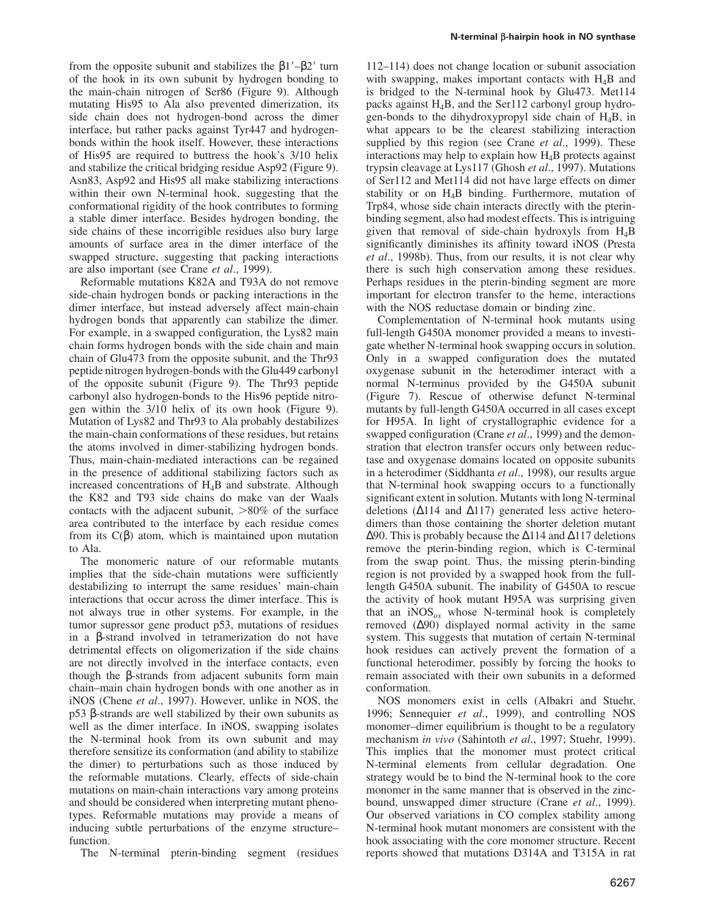from the opposite subunit and stabilizes the  $\beta$ 1'– $\beta$ 2' turn of the hook in its own subunit by hydrogen bonding to the main-chain nitrogen of Ser86 (Figure 9). Although mutating His95 to Ala also prevented dimerization, its side chain does not hydrogen-bond across the dimer interface, but rather packs against Tyr447 and hydrogenbonds within the hook itself. However, these interactions of His95 are required to buttress the hook's 3/10 helix and stabilize the critical bridging residue Asp92 (Figure 9). Asn83, Asp92 and His95 all make stabilizing interactions within their own N-terminal hook, suggesting that the conformational rigidity of the hook contributes to forming a stable dimer interface. Besides hydrogen bonding, the side chains of these incorrigible residues also bury large amounts of surface area in the dimer interface of the swapped structure, suggesting that packing interactions are also important (see Crane *et al*., 1999).

Reformable mutations K82A and T93A do not remove side-chain hydrogen bonds or packing interactions in the dimer interface, but instead adversely affect main-chain hydrogen bonds that apparently can stabilize the dimer. For example, in a swapped configuration, the Lys82 main chain forms hydrogen bonds with the side chain and main chain of Glu473 from the opposite subunit, and the Thr93 peptide nitrogen hydrogen-bonds with the Glu449 carbonyl of the opposite subunit (Figure 9). The Thr93 peptide carbonyl also hydrogen-bonds to the His96 peptide nitrogen within the 3/10 helix of its own hook (Figure 9). Mutation of Lys82 and Thr93 to Ala probably destabilizes the main-chain conformations of these residues, but retains the atoms involved in dimer-stabilizing hydrogen bonds. Thus, main-chain-mediated interactions can be regained in the presence of additional stabilizing factors such as increased concentrations of  $H_4B$  and substrate. Although the K82 and T93 side chains do make van der Waals contacts with the adjacent subunit,  $>80\%$  of the surface area contributed to the interface by each residue comes from its C(β) atom, which is maintained upon mutation to Ala.

The monomeric nature of our reformable mutants implies that the side-chain mutations were sufficiently destabilizing to interrupt the same residues' main-chain interactions that occur across the dimer interface. This is not always true in other systems. For example, in the tumor supressor gene product p53, mutations of residues in a β-strand involved in tetramerization do not have detrimental effects on oligomerization if the side chains are not directly involved in the interface contacts, even though the β-strands from adjacent subunits form main chain–main chain hydrogen bonds with one another as in iNOS (Chene *et al*., 1997). However, unlike in NOS, the p53 β-strands are well stabilized by their own subunits as well as the dimer interface. In iNOS, swapping isolates the N-terminal hook from its own subunit and may therefore sensitize its conformation (and ability to stabilize the dimer) to perturbations such as those induced by the reformable mutations. Clearly, effects of side-chain mutations on main-chain interactions vary among proteins and should be considered when interpreting mutant phenotypes. Reformable mutations may provide a means of inducing subtle perturbations of the enzyme structure– function.

The N-terminal pterin-binding segment (residues

112–114) does not change location or subunit association with swapping, makes important contacts with  $H_4B$  and is bridged to the N-terminal hook by Glu473. Met114 packs against H4B, and the Ser112 carbonyl group hydrogen-bonds to the dihydroxypropyl side chain of  $H_4B$ , in what appears to be the clearest stabilizing interaction supplied by this region (see Crane *et al*., 1999). These interactions may help to explain how  $H_4B$  protects against trypsin cleavage at Lys117 (Ghosh *et al*., 1997). Mutations of Ser112 and Met114 did not have large effects on dimer stability or on H4B binding. Furthermore, mutation of Trp84, whose side chain interacts directly with the pterinbinding segment, also had modest effects. This is intriguing given that removal of side-chain hydroxyls from  $H_4B$ significantly diminishes its affinity toward iNOS (Presta *et al*., 1998b). Thus, from our results, it is not clear why there is such high conservation among these residues. Perhaps residues in the pterin-binding segment are more important for electron transfer to the heme, interactions with the NOS reductase domain or binding zinc.

Complementation of N-terminal hook mutants using full-length G450A monomer provided a means to investigate whether N-terminal hook swapping occurs in solution. Only in a swapped configuration does the mutated oxygenase subunit in the heterodimer interact with a normal N-terminus provided by the G450A subunit (Figure 7). Rescue of otherwise defunct N-terminal mutants by full-length G450A occurred in all cases except for H95A. In light of crystallographic evidence for a swapped configuration (Crane *et al*., 1999) and the demonstration that electron transfer occurs only between reductase and oxygenase domains located on opposite subunits in a heterodimer (Siddhanta *et al*., 1998), our results argue that N-terminal hook swapping occurs to a functionally significant extent in solution. Mutants with long N-terminal deletions (∆114 and ∆117) generated less active heterodimers than those containing the shorter deletion mutant ∆90. This is probably because the ∆114 and ∆117 deletions remove the pterin-binding region, which is C-terminal from the swap point. Thus, the missing pterin-binding region is not provided by a swapped hook from the fulllength G450A subunit. The inability of G450A to rescue the activity of hook mutant H95A was surprising given that an  $iNOS_{ox}$  whose N-terminal hook is completely removed (∆90) displayed normal activity in the same system. This suggests that mutation of certain N-terminal hook residues can actively prevent the formation of a functional heterodimer, possibly by forcing the hooks to remain associated with their own subunits in a deformed conformation.

NOS monomers exist in cells (Albakri and Stuehr, 1996; Sennequier *et al*., 1999), and controlling NOS monomer–dimer equilibrium is thought to be a regulatory mechanism *in vivo* (Sahintoth *et al*., 1997; Stuehr, 1999). This implies that the monomer must protect critical N-terminal elements from cellular degradation. One strategy would be to bind the N-terminal hook to the core monomer in the same manner that is observed in the zincbound, unswapped dimer structure (Crane *et al*., 1999). Our observed variations in CO complex stability among N-terminal hook mutant monomers are consistent with the hook associating with the core monomer structure. Recent reports showed that mutations D314A and T315A in rat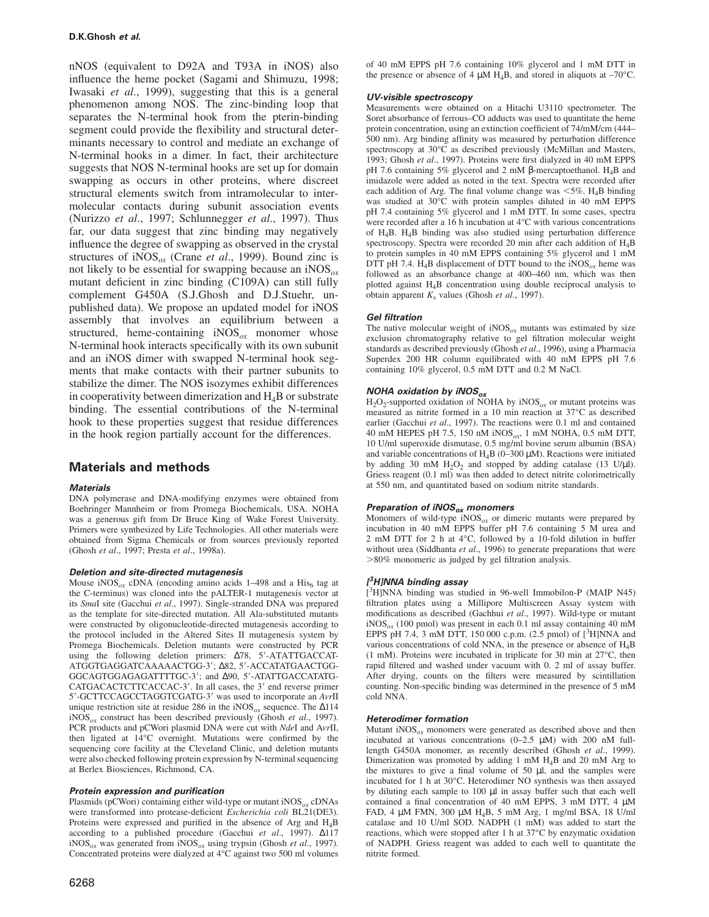nNOS (equivalent to D92A and T93A in iNOS) also influence the heme pocket (Sagami and Shimuzu, 1998; Iwasaki *et al*., 1999), suggesting that this is a general phenomenon among NOS. The zinc-binding loop that separates the N-terminal hook from the pterin-binding segment could provide the flexibility and structural determinants necessary to control and mediate an exchange of N-terminal hooks in a dimer. In fact, their architecture suggests that NOS N-terminal hooks are set up for domain swapping as occurs in other proteins, where discreet structural elements switch from intramolecular to intermolecular contacts during subunit association events (Nurizzo *et al*., 1997; Schlunnegger *et al*., 1997). Thus far, our data suggest that zinc binding may negatively influence the degree of swapping as observed in the crystal structures of iNOS*ox* (Crane *et al*., 1999). Bound zinc is not likely to be essential for swapping because an iNOS*ox* mutant deficient in zinc binding (C109A) can still fully complement G450A (S.J.Ghosh and D.J.Stuehr, unpublished data). We propose an updated model for iNOS assembly that involves an equilibrium between a structured, heme-containing  $iNOS_{ox}$  monomer whose N-terminal hook interacts specifically with its own subunit and an iNOS dimer with swapped N-terminal hook segments that make contacts with their partner subunits to stabilize the dimer. The NOS isozymes exhibit differences in cooperativity between dimerization and  $H_4B$  or substrate binding. The essential contributions of the N-terminal hook to these properties suggest that residue differences in the hook region partially account for the differences.

# **Materials and methods**

## **Materials**

DNA polymerase and DNA-modifying enzymes were obtained from Boehringer Mannheim or from Promega Biochemicals, USA. NOHA was a generous gift from Dr Bruce King of Wake Forest University. Primers were synthesized by Life Technologies. All other materials were obtained from Sigma Chemicals or from sources previously reported (Ghosh *et al*., 1997; Presta *et al*., 1998a).

#### **Deletion and site-directed mutagenesis**

Mouse  $iNOS_{ox}$  cDNA (encoding amino acids  $1-498$  and a His<sub>6</sub> tag at the C-terminus) was cloned into the pALTER-1 mutagenesis vector at its *Sma*I site (Gacchui *et al*., 1997). Single-stranded DNA was prepared as the template for site-directed mutation. All Ala-substituted mutants were constructed by oligonucleotide-directed mutagenesis according to the protocol included in the Altered Sites II mutagenesis system by Promega Biochemicals. Deletion mutants were constructed by PCR using the following deletion primers: ∆78, 5'-ATATTGACCAT-ATGGTGAGGATCAAAAACTGG-3'; ∆82, 5'-ACCATATGAACTGG-GGCAGTGGAGAGATTTTGC-3'; and △90, 5'-ATATTGACCATATG-CATGACACTCTTCACCAC-3'. In all cases, the 3' end reverse primer 5'-GCTTCCAGCCTAGGTCGATG-3' was used to incorporate an *AvrII* unique restriction site at residue 286 in the iNOS*ox* sequence. The ∆114 iNOS*ox* construct has been described previously (Ghosh *et al*., 1997). PCR products and pCWori plasmid DNA were cut with *Nde*I and A*vr*II, then ligated at 14°C overnight. Mutations were confirmed by the sequencing core facility at the Cleveland Clinic, and deletion mutants were also checked following protein expression by N-terminal sequencing at Berlex Biosciences, Richmond, CA.

#### **Protein expression and purification**

Plasmids (pCWori) containing either wild-type or mutant iNOS*ox* cDNAs were transformed into protease-deficient *Escherichia coli* BL21(DE3). Proteins were expressed and purified in the absence of Arg and H4B according to a published procedure (Gacchui *et al*., 1997). ∆117 iNOS*ox* was generated from iNOS*ox* using trypsin (Ghosh *et al*., 1997). Concentrated proteins were dialyzed at 4°C against two 500 ml volumes of 40 mM EPPS pH 7.6 containing 10% glycerol and 1 mM DTT in the presence or absence of 4  $\mu$ M H<sub>4</sub>B, and stored in aliquots at –70°C.

## **UV-visible spectroscopy**

Measurements were obtained on a Hitachi U3110 spectrometer. The Soret absorbance of ferrous–CO adducts was used to quantitate the heme protein concentration, using an extinction coefficient of 74/mM/cm (444– 500 nm). Arg binding affinity was measured by perturbation difference spectroscopy at 30°C as described previously (McMillan and Masters, 1993; Ghosh *et al*., 1997). Proteins were first dialyzed in 40 mM EPPS pH 7.6 containing 5% glycerol and 2 mM β-mercaptoethanol.  $H_4B$  and imidazole were added as noted in the text. Spectra were recorded after each addition of Arg. The final volume change was  $\leq 5\%$ . H<sub>4</sub>B binding was studied at 30°C with protein samples diluted in 40 mM EPPS pH 7.4 containing 5% glycerol and 1 mM DTT. In some cases, spectra were recorded after a 16 h incubation at 4°C with various concentrations of H4B. H4B binding was also studied using perturbation difference spectroscopy. Spectra were recorded 20 min after each addition of H4B to protein samples in 40 mM EPPS containing 5% glycerol and 1 mM DTT pH 7.4. H<sub>4</sub>B displacement of DTT bound to the iNOS<sub> $\alpha$ x</sub> heme was followed as an absorbance change at 400–460 nm, which was then plotted against H4B concentration using double reciprocal analysis to obtain apparent  $K_s$  values (Ghosh *et al.*, 1997).

#### **Gel filtration**

The native molecular weight of  $iNOS_{ox}$  mutants was estimated by size exclusion chromatography relative to gel filtration molecular weight standards as described previously (Ghosh *et al*., 1996), using a Pharmacia Superdex 200 HR column equilibrated with 40 mM EPPS pH 7.6 containing 10% glycerol, 0.5 mM DTT and 0.2 M NaCl.

# **NOHA oxidation by iNOSox**

 $H_2O_2$ -supported oxidation of NOHA by iNOS<sub> $\alpha$ x</sub> or mutant proteins was measured as nitrite formed in a 10 min reaction at 37°C as described earlier (Gacchui *et al*., 1997). The reactions were 0.1 ml and contained 40 mM HEPES pH 7.5, 150 nM iNOS*ox*, 1 mM NOHA, 0.5 mM DTT, 10 U/ml superoxide dismutase, 0.5 mg/ml bovine serum albumin (BSA) and variable concentrations of  $H_4B$  (0–300  $\mu$ M). Reactions were initiated by adding 30 mM  $H_2O_2$  and stopped by adding catalase (13 U/µl). Griess reagent (0.1 ml) was then added to detect nitrite colorimetrically at 550 nm, and quantitated based on sodium nitrite standards.

# **Preparation of iNOSox monomers**

Monomers of wild-type  $NOS_{ox}$  or dimeric mutants were prepared by incubation in 40 mM EPPS buffer pH 7.6 containing 5 M urea and 2 mM DTT for 2 h at 4°C, followed by a 10-fold dilution in buffer without urea (Siddhanta *et al*., 1996) to generate preparations that were >80% monomeric as judged by gel filtration analysis.

#### **[ <sup>3</sup>H]NNA binding assay**

[ <sup>3</sup>H]NNA binding was studied in 96-well Immobilon-P (MAIP N45) filtration plates using a Millipore Multiscreen Assay system with modifications as described (Gachhui *et al*., 1997). Wild-type or mutant iNOS*ox* (100 pmol) was present in each 0.1 ml assay containing 40 mM EPPS pH 7.4, 3 mM DTT, 150 000 c.p.m.  $(2.5 \text{ pmol})$  of  $[{}^{3}$ H]NNA and various concentrations of cold NNA, in the presence or absence of H4B (1 mM). Proteins were incubated in triplicate for 30 min at 27°C, then rapid filtered and washed under vacuum with 0. 2 ml of assay buffer. After drying, counts on the filters were measured by scintillation counting. Non-specific binding was determined in the presence of 5 mM cold NNA.

#### **Heterodimer formation**

Mutant iNOS*ox* monomers were generated as described above and then incubated at various concentrations (0–2.5 µM) with 200 nM fulllength G450A monomer, as recently described (Ghosh *et al*., 1999). Dimerization was promoted by adding 1 mM H4B and 20 mM Arg to the mixtures to give a final volume of 50 µl, and the samples were incubated for 1 h at 30°C. Heterodimer NO synthesis was then assayed by diluting each sample to 100 µl in assay buffer such that each well contained a final concentration of 40 mM EPPS, 3 mM DTT, 4 µM FAD, 4 µM FMN, 300 µM H4B, 5 mM Arg, 1 mg/ml BSA, 18 U/ml catalase and 10 U/ml SOD. NADPH (1 mM) was added to start the reactions, which were stopped after 1 h at 37°C by enzymatic oxidation of NADPH. Griess reagent was added to each well to quantitate the nitrite formed.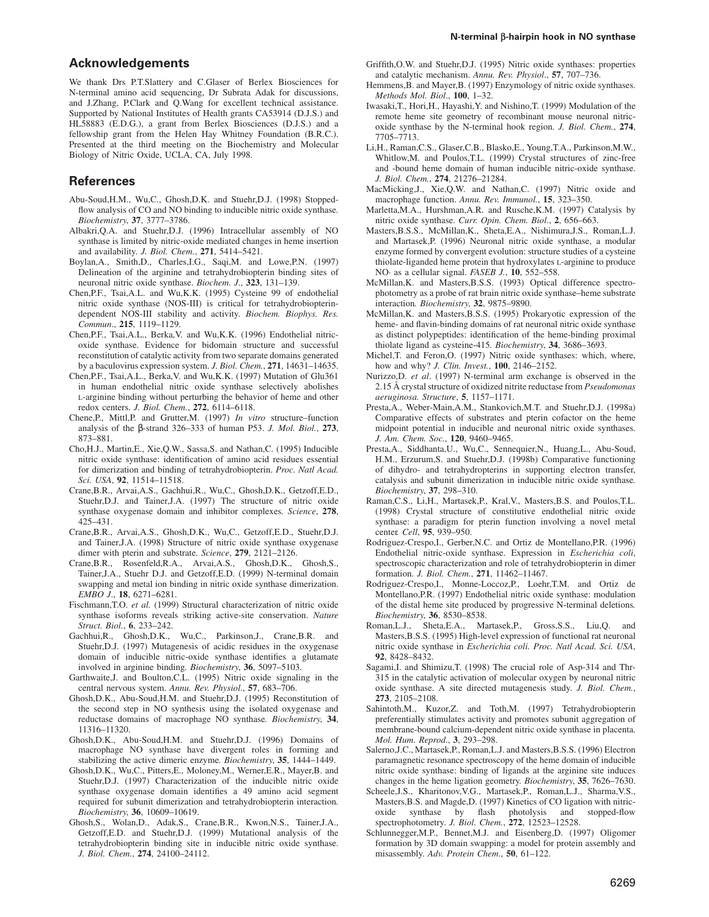# **Acknowledgements**

We thank Drs P.T.Slattery and C.Glaser of Berlex Biosciences for N-terminal amino acid sequencing, Dr Subrata Adak for discussions, and J.Zhang, P.Clark and Q.Wang for excellent technical assistance. Supported by National Institutes of Health grants CA53914 (D.J.S.) and HL58883 (E.D.G.), a grant from Berlex Biosciences (D.J.S.) and a fellowship grant from the Helen Hay Whitney Foundation (B.R.C.). Presented at the third meeting on the Biochemistry and Molecular Biology of Nitric Oxide, UCLA, CA, July 1998.

# **References**

- Abu-Soud,H.M., Wu,C., Ghosh,D.K. and Stuehr,D.J. (1998) Stoppedflow analysis of CO and NO binding to inducible nitric oxide synthase*. Biochemistry*, **37**, 3777–3786.
- Albakri,Q.A. and Stuehr,D.J. (1996) Intracellular assembly of NO synthase is limited by nitric-oxide mediated changes in heme insertion and availability. *J. Biol. Chem.*, **271**, 5414–5421.
- Boylan,A., Smith,D., Charles,I.G., Saqi,M. and Lowe,P.N. (1997) Delineation of the arginine and tetrahydrobiopterin binding sites of neuronal nitric oxide synthase. *Biochem. J*., **323**, 131–139.
- Chen,P.F., Tsai,A.L. and Wu,K.K. (1995) Cysteine 99 of endothelial nitric oxide synthase (NOS-III) is critical for tetrahydrobiopterindependent NOS-III stability and activity. *Biochem. Biophys. Res. Commun*., **215**, 1119–1129.
- Chen,P.F., Tsai,A.L., Berka,V. and Wu,K.K. (1996) Endothelial nitricoxide synthase. Evidence for bidomain structure and successful reconstitution of catalytic activity from two separate domains generated by a baculovirus expression system. *J. Biol. Chem.*, **271**, 14631–14635.
- Chen,P.F., Tsai,A.L., Berka,V. and Wu,K.K. (1997) Mutation of Glu361 in human endothelial nitric oxide synthase selectively abolishes L-arginine binding without perturbing the behavior of heme and other redox centers. *J. Biol. Chem.*, **272**, 6114–6118.
- Chene,P., Mittl,P. and Grutter,M. (1997) *In vitro* structure–function analysis of the β-strand 326–333 of human P53. *J. Mol. Biol.*, **273**, 873–881.
- Cho,H.J., Martin,E., Xie,Q.W., Sassa,S. and Nathan,C. (1995) Inducible nitric oxide synthase: identification of amino acid residues essential for dimerization and binding of tetrahydrobiopterin. *Proc. Natl Acad. Sci. USA*, **92**, 11514–11518.
- Crane,B.R., Arvai,A.S., Gachhui,R., Wu,C., Ghosh,D.K., Getzoff,E.D., Stuehr,D.J. and Tainer,J.A. (1997) The structure of nitric oxide synthase oxygenase domain and inhibitor complexes*. Science*, **278**, 425–431.
- Crane,B.R., Arvai,A.S., Ghosh,D.K., Wu,C., Getzoff,E.D., Stuehr,D.J. and Tainer,J.A. (1998) Structure of nitric oxide synthase oxygenase dimer with pterin and substrate*. Science*, **279**, 2121–2126.
- Crane,B.R., Rosenfeld,R.A., Arvai,A.S., Ghosh,D.K., Ghosh,S., Tainer,J.A., Stuehr D.J. and Getzoff,E.D. (1999) N-terminal domain swapping and metal ion binding in nitric oxide synthase dimerization. *EMBO J*., **18**, 6271–6281.
- Fischmann,T.O. *et al.* (1999) Structural characterization of nitric oxide synthase isoforms reveals striking active-site conservation. *Nature Struct. Biol.*, **6**, 233–242.
- Gachhui,R., Ghosh,D.K., Wu,C., Parkinson,J., Crane,B.R. and Stuehr,D.J. (1997) Mutagenesis of acidic residues in the oxygenase domain of inducible nitric-oxide synthase identifies a glutamate involved in arginine binding*. Biochemistry*, **36**, 5097–5103.
- Garthwaite,J. and Boulton,C.L. (1995) Nitric oxide signaling in the central nervous system. *Annu. Rev. Physiol*., **57**, 683–706.
- Ghosh,D.K., Abu-Soud,H.M. and Stuehr,D.J. (1995) Reconstitution of the second step in NO synthesis using the isolated oxygenase and reductase domains of macrophage NO synthase*. Biochemistry*, **34**, 11316–11320.
- Ghosh,D.K., Abu-Soud,H.M. and Stuehr,D.J. (1996) Domains of macrophage NO synthase have divergent roles in forming and stabilizing the active dimeric enzyme*. Biochemistry*, **35**, 1444–1449.
- Ghosh,D.K., Wu,C., Pitters,E., Moloney,M., Werner,E.R., Mayer,B. and Stuehr,D.J. (1997) Characterization of the inducible nitric oxide synthase oxygenase domain identifies a 49 amino acid segment required for subunit dimerization and tetrahydrobiopterin interaction*. Biochemistry*, **36**, 10609–10619.
- Ghosh,S., Wolan,D., Adak,S., Crane,B.R., Kwon,N.S., Tainer,J.A., Getzoff,E.D. and Stuehr,D.J. (1999) Mutational analysis of the tetrahydrobiopterin binding site in inducible nitric oxide synthase. *J. Biol. Chem.*, **274**, 24100–24112.
- Griffith,O.W. and Stuehr,D.J. (1995) Nitric oxide synthases: properties and catalytic mechanism. *Annu. Rev. Physiol*., **57**, 707–736.
- Hemmens,B. and Mayer,B. (1997) Enzymology of nitric oxide synthases. *Methods Mol. Biol*., **100**, 1–32.
- Iwasaki,T., Hori,H., Hayashi,Y. and Nishino,T. (1999) Modulation of the remote heme site geometry of recombinant mouse neuronal nitricoxide synthase by the N-terminal hook region. *J. Biol. Chem.*, **274**, 7705–7713.
- Li,H., Raman,C.S., Glaser,C.B., Blasko,E., Young,T.A., Parkinson,M.W., Whitlow,M. and Poulos,T.L. (1999) Crystal structures of zinc-free and -bound heme domain of human inducible nitric-oxide synthase. *J. Biol. Chem.*, **274**, 21276–21284.
- MacMicking,J., Xie,Q.W. and Nathan,C. (1997) Nitric oxide and macrophage function. *Annu. Rev. Immunol.*, **15**, 323–350.
- Marletta,M.A., Hurshman,A.R. and Rusche,K.M. (1997) Catalysis by nitric oxide synthase. *Curr. Opin. Chem. Biol*., **2**, 656–663.
- Masters,B.S.S., McMillan,K., Sheta,E.A., Nishimura,J.S., Roman,L.J. and Martasek,P. (1996) Neuronal nitric oxide synthase, a modular enzyme formed by convergent evolution: structure studies of a cysteine thiolate-liganded heme protein that hydroxylates L-arginine to produce NO· as a cellular signal. *FASEB J.*, **10**, 552–558.
- McMillan,K. and Masters,B.S.S. (1993) Optical difference spectrophotometry as a probe of rat brain nitric oxide synthase–heme substrate interaction*. Biochemistry*, **32**, 9875–9890.
- McMillan,K. and Masters,B.S.S. (1995) Prokaryotic expression of the heme- and flavin-binding domains of rat neuronal nitric oxide synthase as distinct polypeptides: identification of the heme-binding proximal thiolate ligand as cysteine-415*. Biochemistry*, **34**, 3686–3693.
- Michel,T. and Feron,O. (1997) Nitric oxide synthases: which, where, how and why? *J. Clin. Invest.*, **100**, 2146–2152.
- Nurizzo,D. *et al*. (1997) N-terminal arm exchange is observed in the 2.15 Å crystal structure of oxidized nitrite reductase from *Pseudomonas aeruginosa. Structure*, **5**, 1157–1171.
- Presta,A., Weber-Main,A.M., Stankovich,M.T. and Stuehr,D.J. (1998a) Comparative effects of substrates and pterin cofactor on the heme midpoint potential in inducible and neuronal nitric oxide synthases. *J. Am. Chem. Soc.*, **120**, 9460–9465.
- Presta,A., Siddhanta,U., Wu,C., Sennequier,N., Huang,L., Abu-Soud, H.M., Erzurum,S. and Stuehr,D.J. (1998b) Comparative functioning of dihydro- and tetrahydropterins in supporting electron transfer, catalysis and subunit dimerization in inducible nitric oxide synthase*. Biochemistry*, **37**, 298–310.
- Raman,C.S., Li,H., Martasek,P., Kral,V., Masters,B.S. and Poulos,T.L. (1998) Crystal structure of constitutive endothelial nitric oxide synthase: a paradigm for pterin function involving a novel metal center*. Cell*, **95**, 939–950.
- Rodriguez-Crespo,I., Gerber,N.C. and Ortiz de Montellano,P.R. (1996) Endothelial nitric-oxide synthase. Expression in *Escherichia coli*, spectroscopic characterization and role of tetrahydrobiopterin in dimer formation. *J. Biol. Chem.*, **271**, 11462–11467.
- Rodriguez-Crespo,I., Monne-Loccoz,P., Loehr,T.M. and Ortiz de Montellano,P.R. (1997) Endothelial nitric oxide synthase: modulation of the distal heme site produced by progressive N-terminal deletions*. Biochemistry*, **36**, 8530–8538.
- Roman,L.J., Sheta,E.A., Martasek,P., Gross,S.S., Liu,Q. and Masters,B.S.S. (1995) High-level expression of functional rat neuronal nitric oxide synthase in *Escherichia coli. Proc. Natl Acad. Sci. USA*, **92**, 8428–8432.
- Sagami,I. and Shimizu,T. (1998) The crucial role of Asp-314 and Thr-315 in the catalytic activation of molecular oxygen by neuronal nitric oxide synthase. A site directed mutagenesis study. *J. Biol. Chem.*, **273**, 2105–2108.
- Sahintoth,M., Kuzor,Z. and Toth,M. (1997) Tetrahydrobiopterin preferentially stimulates activity and promotes subunit aggregation of membrane-bound calcium-dependent nitric oxide synthase in placenta. *Mol. Hum. Reprod*., **3**, 293–298.
- Salerno,J.C., Martasek,P., Roman,L.J. and Masters,B.S.S. (1996) Electron paramagnetic resonance spectroscopy of the heme domain of inducible nitric oxide synthase: binding of ligands at the arginine site induces changes in the heme ligation geometry*. Biochemistry*, **35**, 7626–7630.
- Scheele,J.S., Kharitonov, V.G., Martasek, P., Roman, L.J., Sharma, V.S., Masters,B.S. and Magde,D. (1997) Kinetics of CO ligation with nitricoxide synthase by flash photolysis and stopped-flow spectrophotometry. *J. Biol. Chem.*, **272**, 12523–12528.
- Schlunnegger,M.P., Bennet,M.J. and Eisenberg,D. (1997) Oligomer formation by 3D domain swapping: a model for protein assembly and misassembly. *Adv. Protein Chem*., **50**, 61–122.